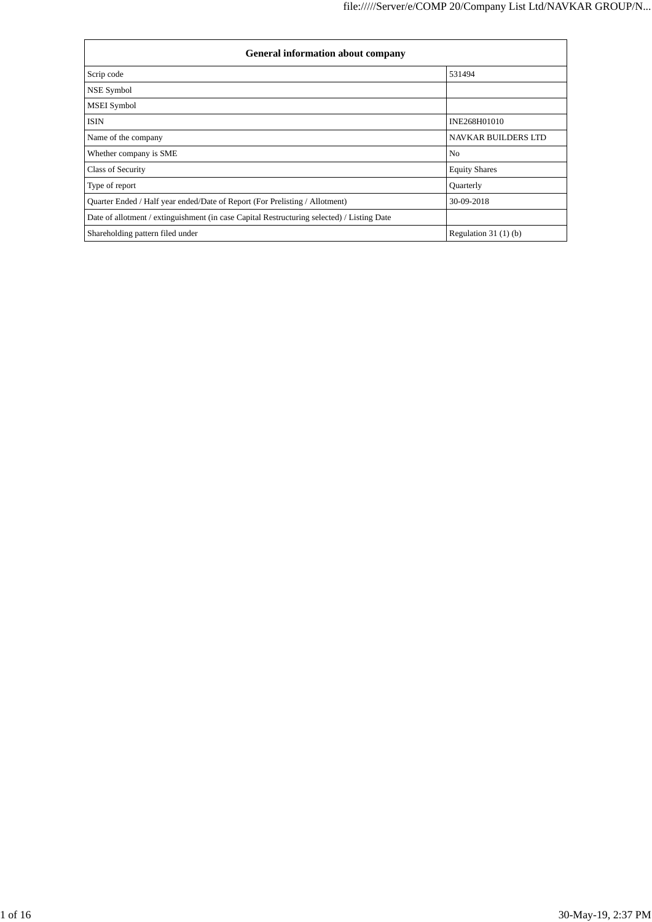| <b>General information about company</b>                                                   |                            |  |  |  |  |  |
|--------------------------------------------------------------------------------------------|----------------------------|--|--|--|--|--|
| Scrip code                                                                                 | 531494                     |  |  |  |  |  |
| NSE Symbol                                                                                 |                            |  |  |  |  |  |
| <b>MSEI</b> Symbol                                                                         |                            |  |  |  |  |  |
| <b>ISIN</b>                                                                                | INE268H01010               |  |  |  |  |  |
| Name of the company                                                                        | <b>NAVKAR BUILDERS LTD</b> |  |  |  |  |  |
| Whether company is SME                                                                     | N <sub>o</sub>             |  |  |  |  |  |
| Class of Security                                                                          | <b>Equity Shares</b>       |  |  |  |  |  |
| Type of report                                                                             | Quarterly                  |  |  |  |  |  |
| Quarter Ended / Half year ended/Date of Report (For Prelisting / Allotment)                | 30-09-2018                 |  |  |  |  |  |
| Date of allotment / extinguishment (in case Capital Restructuring selected) / Listing Date |                            |  |  |  |  |  |
| Shareholding pattern filed under                                                           | Regulation $31(1)(b)$      |  |  |  |  |  |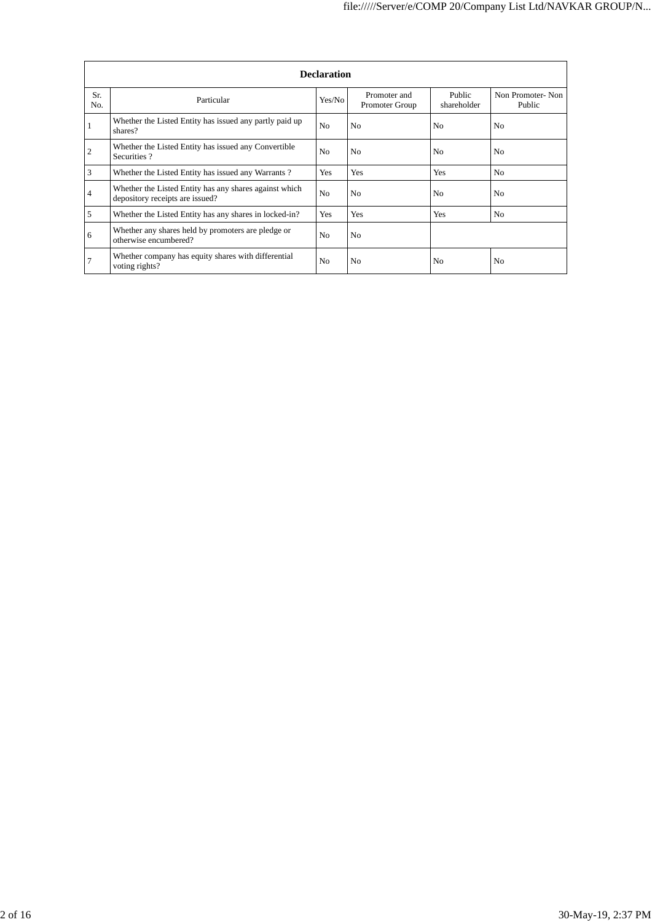|            | <b>Declaration</b>                                                                        |                |                                |                       |                            |  |  |  |  |  |
|------------|-------------------------------------------------------------------------------------------|----------------|--------------------------------|-----------------------|----------------------------|--|--|--|--|--|
| Sr.<br>No. | Particular                                                                                | Yes/No         | Promoter and<br>Promoter Group | Public<br>shareholder | Non Promoter-Non<br>Public |  |  |  |  |  |
|            | Whether the Listed Entity has issued any partly paid up<br>shares?                        | N <sub>o</sub> | N <sub>0</sub>                 | N <sub>0</sub>        | N <sub>0</sub>             |  |  |  |  |  |
| 2          | Whether the Listed Entity has issued any Convertible<br>Securities?                       | N <sub>0</sub> | N <sub>0</sub>                 | N <sub>0</sub>        | N <sub>0</sub>             |  |  |  |  |  |
| 3          | Whether the Listed Entity has issued any Warrants?                                        | Yes            | Yes                            | Yes                   | N <sub>0</sub>             |  |  |  |  |  |
| 4          | Whether the Listed Entity has any shares against which<br>depository receipts are issued? | N <sub>0</sub> | No.                            | N <sub>0</sub>        | N <sub>0</sub>             |  |  |  |  |  |
| 5          | Whether the Listed Entity has any shares in locked-in?                                    | Yes            | Yes                            | Yes                   | N <sub>0</sub>             |  |  |  |  |  |
| 6          | Whether any shares held by promoters are pledge or<br>otherwise encumbered?               | N <sub>0</sub> | No                             |                       |                            |  |  |  |  |  |
|            | Whether company has equity shares with differential<br>voting rights?                     | N <sub>0</sub> | N <sub>0</sub>                 | N <sub>0</sub>        | N <sub>0</sub>             |  |  |  |  |  |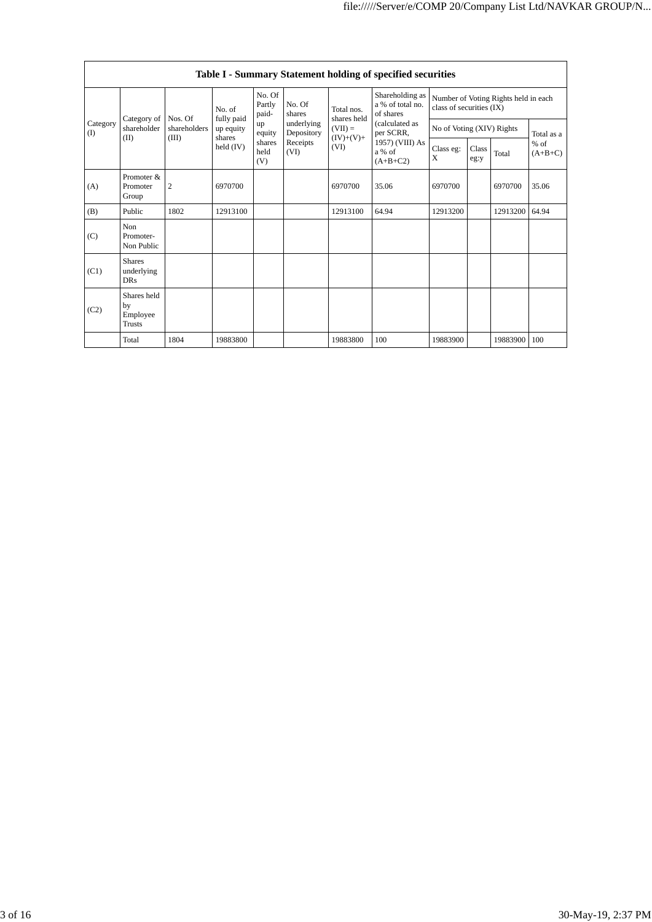|                 |                                           |                         |                         |                                                                            |                               |                          | Table I - Summary Statement holding of specified securities |                                                                  |                     |          |            |
|-----------------|-------------------------------------------|-------------------------|-------------------------|----------------------------------------------------------------------------|-------------------------------|--------------------------|-------------------------------------------------------------|------------------------------------------------------------------|---------------------|----------|------------|
|                 |                                           |                         | No. of                  | No. Of<br>Partly<br>paid-                                                  | No. Of<br>shares              | Total nos.               | Shareholding as<br>a % of total no.<br>of shares            | Number of Voting Rights held in each<br>class of securities (IX) |                     |          |            |
| Category<br>(I) | Category of<br>shareholder                | Nos. Of<br>shareholders | fully paid<br>up equity | up<br>equity                                                               | underlying<br>Depository      | shares held<br>$(VII) =$ | (calculated as<br>per SCRR,                                 | No of Voting (XIV) Rights                                        |                     |          | Total as a |
|                 | (II)                                      | (III)                   | shares<br>held $(IV)$   | $(IV)+(V)+$<br>shares<br>Receipts<br>(VI)<br>a % of<br>held<br>(VI)<br>(V) | 1957) (VIII) As<br>$(A+B+C2)$ | Class eg:<br>X           | Class<br>eg:y                                               | Total                                                            | $%$ of<br>$(A+B+C)$ |          |            |
| (A)             | Promoter &<br>Promoter<br>Group           | $\mathfrak{2}$          | 6970700                 |                                                                            |                               | 6970700                  | 35.06                                                       | 6970700                                                          |                     | 6970700  | 35.06      |
| (B)             | Public                                    | 1802                    | 12913100                |                                                                            |                               | 12913100                 | 64.94                                                       | 12913200                                                         |                     | 12913200 | 64.94      |
| (C)             | Non<br>Promoter-<br>Non Public            |                         |                         |                                                                            |                               |                          |                                                             |                                                                  |                     |          |            |
| (C1)            | <b>Shares</b><br>underlying<br><b>DRs</b> |                         |                         |                                                                            |                               |                          |                                                             |                                                                  |                     |          |            |
| (C2)            | Shares held<br>by<br>Employee<br>Trusts   |                         |                         |                                                                            |                               |                          |                                                             |                                                                  |                     |          |            |
|                 | Total                                     | 1804                    | 19883800                |                                                                            |                               | 19883800                 | 100                                                         | 19883900                                                         |                     | 19883900 | 100        |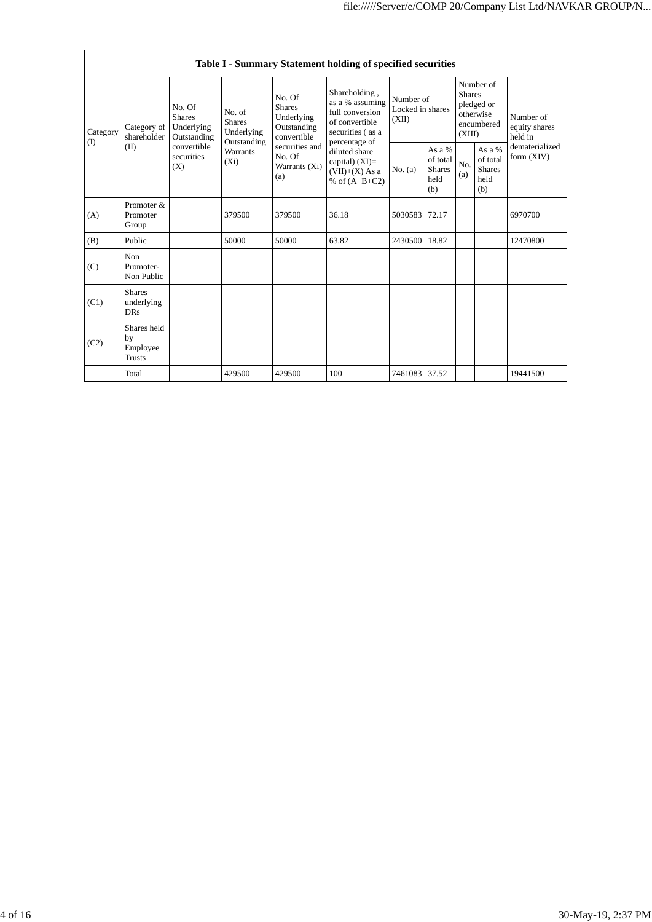|                         |                                                                                                                        |                                           |                                                  |                                                                           | Table I - Summary Statement holding of specified securities         |                                                                                                            |                                        |                                                    |                                                                               |          |                                                                         |
|-------------------------|------------------------------------------------------------------------------------------------------------------------|-------------------------------------------|--------------------------------------------------|---------------------------------------------------------------------------|---------------------------------------------------------------------|------------------------------------------------------------------------------------------------------------|----------------------------------------|----------------------------------------------------|-------------------------------------------------------------------------------|----------|-------------------------------------------------------------------------|
| Category<br>(I)<br>(II) | No. Of<br><b>Shares</b><br>Category of<br>Underlying<br>shareholder<br>Outstanding<br>convertible<br>securities<br>(X) |                                           |                                                  | No. of<br><b>Shares</b><br>Underlying                                     | No. Of<br><b>Shares</b><br>Underlying<br>Outstanding<br>convertible | Shareholding,<br>as a % assuming<br>full conversion<br>of convertible<br>securities (as a<br>percentage of | Number of<br>Locked in shares<br>(XII) |                                                    | Number of<br><b>Shares</b><br>pledged or<br>otherwise<br>encumbered<br>(XIII) |          | Number of<br>equity shares<br>held in<br>dematerialized<br>form $(XIV)$ |
|                         |                                                                                                                        | Outstanding<br><b>Warrants</b><br>$(X_i)$ | securities and<br>No. Of<br>Warrants (Xi)<br>(a) | diluted share<br>capital) $(XI)$ =<br>$(VII)+(X)$ As a<br>% of $(A+B+C2)$ | No. (a)                                                             | As a $%$<br>of total<br><b>Shares</b><br>held<br>(b)                                                       | No.<br>(a)                             | As a %<br>of total<br><b>Shares</b><br>held<br>(b) |                                                                               |          |                                                                         |
| (A)                     | Promoter &<br>Promoter<br>Group                                                                                        |                                           | 379500                                           | 379500                                                                    | 36.18                                                               | 5030583                                                                                                    | 72.17                                  |                                                    |                                                                               | 6970700  |                                                                         |
| (B)                     | Public                                                                                                                 |                                           | 50000                                            | 50000                                                                     | 63.82                                                               | 2430500                                                                                                    | 18.82                                  |                                                    |                                                                               | 12470800 |                                                                         |
| (C)                     | Non<br>Promoter-<br>Non Public                                                                                         |                                           |                                                  |                                                                           |                                                                     |                                                                                                            |                                        |                                                    |                                                                               |          |                                                                         |
| (C1)                    | <b>Shares</b><br>underlying<br><b>DRs</b>                                                                              |                                           |                                                  |                                                                           |                                                                     |                                                                                                            |                                        |                                                    |                                                                               |          |                                                                         |
| (C2)                    | Shares held<br>by<br>Employee<br><b>Trusts</b>                                                                         |                                           |                                                  |                                                                           |                                                                     |                                                                                                            |                                        |                                                    |                                                                               |          |                                                                         |
|                         | Total                                                                                                                  |                                           | 429500                                           | 429500                                                                    | 100                                                                 | 7461083 37.52                                                                                              |                                        |                                                    |                                                                               | 19441500 |                                                                         |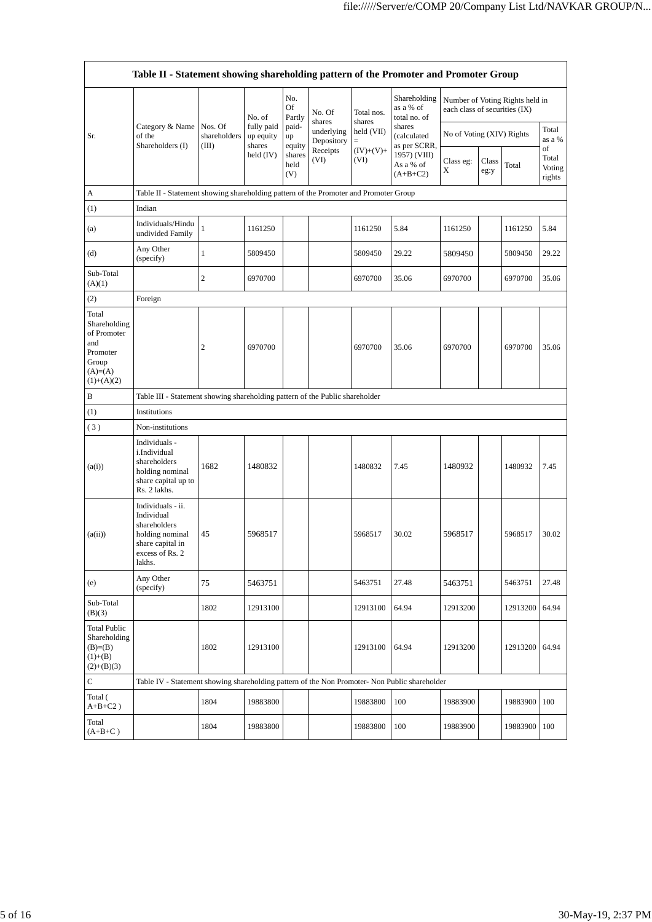|                                                                                               | Table II - Statement showing shareholding pattern of the Promoter and Promoter Group                                |                                  |                                   |                       |                          |                      |                                                                                  |                               |               |                                 |                                 |
|-----------------------------------------------------------------------------------------------|---------------------------------------------------------------------------------------------------------------------|----------------------------------|-----------------------------------|-----------------------|--------------------------|----------------------|----------------------------------------------------------------------------------|-------------------------------|---------------|---------------------------------|---------------------------------|
|                                                                                               |                                                                                                                     |                                  | No. of                            | No.<br>Of<br>Partly   | No. Of<br>shares         | Total nos.<br>shares | Shareholding<br>as a % of<br>total no. of                                        | each class of securities (IX) |               | Number of Voting Rights held in |                                 |
| Sr.                                                                                           | Category & Name<br>of the<br>Shareholders (I)                                                                       | Nos. Of<br>shareholders<br>(III) | fully paid<br>up equity<br>shares | paid-<br>up<br>equity | underlying<br>Depository | held (VII)<br>$=$    | shares<br>(calculated<br>as per SCRR,<br>1957) (VIII)<br>As a % of<br>$(A+B+C2)$ | No of Voting (XIV) Rights     |               |                                 | Total<br>as a %                 |
|                                                                                               |                                                                                                                     |                                  | held $(IV)$                       | shares<br>held<br>(V) | Receipts<br>(VI)         | $(IV)+(V)+$<br>(VI)  |                                                                                  | Class eg:<br>X                | Class<br>eg:y | Total                           | of<br>Total<br>Voting<br>rights |
| A                                                                                             | Table II - Statement showing shareholding pattern of the Promoter and Promoter Group                                |                                  |                                   |                       |                          |                      |                                                                                  |                               |               |                                 |                                 |
| (1)                                                                                           | Indian                                                                                                              |                                  |                                   |                       |                          |                      |                                                                                  |                               |               |                                 |                                 |
| (a)                                                                                           | Individuals/Hindu<br>undivided Family                                                                               | $\mathbf{1}$                     | 1161250                           |                       |                          | 1161250              | 5.84                                                                             | 1161250                       |               | 1161250                         | 5.84                            |
| (d)                                                                                           | Any Other<br>(specify)                                                                                              | 1                                | 5809450                           |                       |                          | 5809450              | 29.22                                                                            | 5809450                       |               | 5809450                         | 29.22                           |
| Sub-Total<br>(A)(1)                                                                           |                                                                                                                     | 2                                | 6970700                           |                       |                          | 6970700              | 35.06                                                                            | 6970700                       |               | 6970700                         | 35.06                           |
| (2)                                                                                           | Foreign                                                                                                             |                                  |                                   |                       |                          |                      |                                                                                  |                               |               |                                 |                                 |
| Total<br>Shareholding<br>of Promoter<br>and<br>Promoter<br>Group<br>$(A)=(A)$<br>$(1)+(A)(2)$ |                                                                                                                     | 2                                | 6970700                           |                       |                          | 6970700              | 35.06                                                                            | 6970700                       |               | 6970700                         | 35.06                           |
| B                                                                                             | Table III - Statement showing shareholding pattern of the Public shareholder                                        |                                  |                                   |                       |                          |                      |                                                                                  |                               |               |                                 |                                 |
| (1)                                                                                           | Institutions                                                                                                        |                                  |                                   |                       |                          |                      |                                                                                  |                               |               |                                 |                                 |
| (3)                                                                                           | Non-institutions                                                                                                    |                                  |                                   |                       |                          |                      |                                                                                  |                               |               |                                 |                                 |
| (a(i))                                                                                        | Individuals -<br>i.Individual<br>shareholders<br>holding nominal<br>share capital up to<br>Rs. 2 lakhs.             | 1682                             | 1480832                           |                       |                          | 1480832              | 7.45                                                                             | 1480932                       |               | 1480932                         | 7.45                            |
| (a(ii))                                                                                       | Individuals - ii.<br>Individual<br>shareholders<br>holding nominal<br>share capital in<br>excess of Rs. 2<br>lakhs. | 45                               | 5968517                           |                       |                          | 5968517              | 30.02                                                                            | 5968517                       |               | 5968517                         | 30.02                           |
| (e)                                                                                           | Any Other<br>(specify)                                                                                              | 75                               | 5463751                           |                       |                          | 5463751              | 27.48                                                                            | 5463751                       |               | 5463751                         | 27.48                           |
| Sub-Total<br>(B)(3)                                                                           |                                                                                                                     | 1802                             | 12913100                          |                       |                          | 12913100             | 64.94                                                                            | 12913200                      |               | 12913200                        | 64.94                           |
| <b>Total Public</b><br>Shareholding<br>$(B)= (B)$<br>$(1)+(B)$<br>$(2)+(B)(3)$                |                                                                                                                     | 1802                             | 12913100                          |                       |                          | 12913100             | 64.94                                                                            | 12913200                      |               | 12913200                        | 64.94                           |
| C                                                                                             | Table IV - Statement showing shareholding pattern of the Non Promoter- Non Public shareholder                       |                                  |                                   |                       |                          |                      |                                                                                  |                               |               |                                 |                                 |
| Total (<br>$A+B+C2$ )                                                                         |                                                                                                                     | 1804                             | 19883800                          |                       |                          | 19883800             | 100                                                                              | 19883900                      |               | 19883900                        | 100                             |
| Total<br>$(A+B+C)$                                                                            |                                                                                                                     | 1804                             | 19883800                          |                       |                          | 19883800             | 100                                                                              | 19883900                      |               | 19883900                        | 100                             |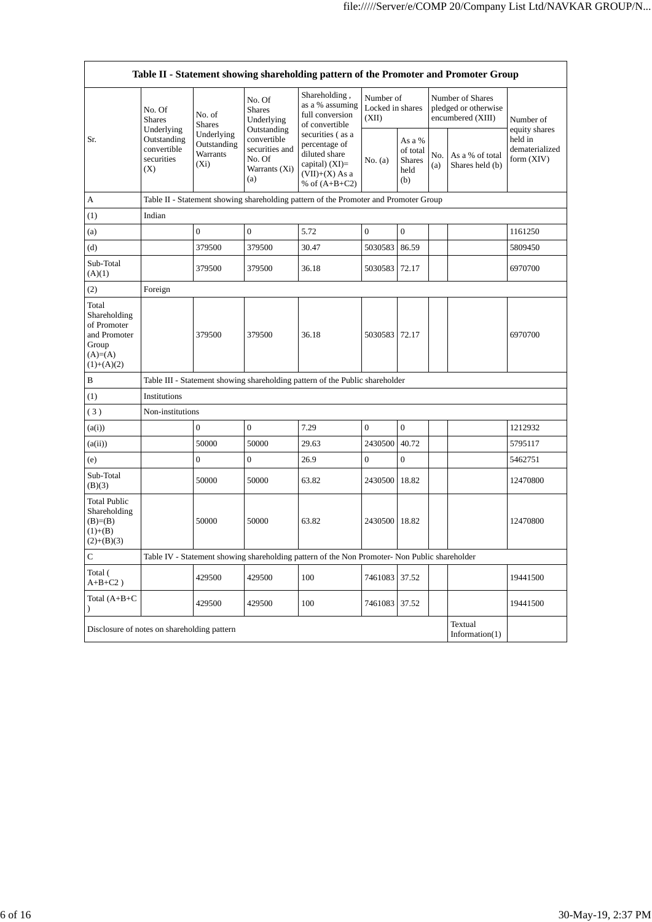|                                                                                            |                                                                          |                                                  |                                                                                | Table II - Statement showing shareholding pattern of the Promoter and Promoter Group                           |                                        |                                                    |            |                                                               |                                                          |
|--------------------------------------------------------------------------------------------|--------------------------------------------------------------------------|--------------------------------------------------|--------------------------------------------------------------------------------|----------------------------------------------------------------------------------------------------------------|----------------------------------------|----------------------------------------------------|------------|---------------------------------------------------------------|----------------------------------------------------------|
|                                                                                            | No. Of<br><b>Shares</b>                                                  | No. of<br><b>Shares</b>                          | No. Of<br><b>Shares</b><br>Underlying                                          | Shareholding,<br>as a % assuming<br>full conversion<br>of convertible                                          | Number of<br>Locked in shares<br>(XII) |                                                    |            | Number of Shares<br>pledged or otherwise<br>encumbered (XIII) | Number of                                                |
| Sr.                                                                                        | Underlying<br>Outstanding<br>convertible<br>securities<br>(X)            | Underlying<br>Outstanding<br>Warrants<br>$(X_i)$ | Outstanding<br>convertible<br>securities and<br>No. Of<br>Warrants (Xi)<br>(a) | securities (as a<br>percentage of<br>diluted share<br>capital) $(XI)$ =<br>$(VII)+(X)$ As a<br>% of $(A+B+C2)$ | No. (a)                                | As a %<br>of total<br><b>Shares</b><br>held<br>(b) | No.<br>(a) | As a % of total<br>Shares held (b)                            | equity shares<br>held in<br>dematerialized<br>form (XIV) |
| А                                                                                          |                                                                          |                                                  |                                                                                | Table II - Statement showing shareholding pattern of the Promoter and Promoter Group                           |                                        |                                                    |            |                                                               |                                                          |
| (1)                                                                                        | Indian                                                                   |                                                  |                                                                                |                                                                                                                |                                        |                                                    |            |                                                               |                                                          |
| (a)                                                                                        |                                                                          | $\boldsymbol{0}$                                 | $\overline{0}$                                                                 | 5.72                                                                                                           | $\overline{0}$                         | $\boldsymbol{0}$                                   |            |                                                               | 1161250                                                  |
| (d)                                                                                        |                                                                          | 379500                                           | 379500                                                                         | 30.47                                                                                                          | 5030583                                | 86.59                                              |            |                                                               | 5809450                                                  |
| Sub-Total<br>(A)(1)                                                                        |                                                                          | 379500                                           | 379500                                                                         | 36.18                                                                                                          | 5030583                                | 72.17                                              |            |                                                               | 6970700                                                  |
| (2)                                                                                        | Foreign                                                                  |                                                  |                                                                                |                                                                                                                |                                        |                                                    |            |                                                               |                                                          |
| Total<br>Shareholding<br>of Promoter<br>and Promoter<br>Group<br>$(A)=(A)$<br>$(1)+(A)(2)$ |                                                                          | 379500                                           | 379500                                                                         | 36.18                                                                                                          | 5030583                                | 72.17                                              |            |                                                               | 6970700                                                  |
| B                                                                                          |                                                                          |                                                  |                                                                                | Table III - Statement showing shareholding pattern of the Public shareholder                                   |                                        |                                                    |            |                                                               |                                                          |
| (1)                                                                                        | Institutions                                                             |                                                  |                                                                                |                                                                                                                |                                        |                                                    |            |                                                               |                                                          |
| (3)                                                                                        | Non-institutions                                                         |                                                  |                                                                                |                                                                                                                |                                        |                                                    |            |                                                               |                                                          |
| (a(i))                                                                                     |                                                                          | $\overline{0}$                                   | $\boldsymbol{0}$                                                               | 7.29                                                                                                           | $\mathbf{0}$                           | $\boldsymbol{0}$                                   |            |                                                               | 1212932                                                  |
| (a(ii))                                                                                    |                                                                          | 50000                                            | 50000                                                                          | 29.63                                                                                                          | 2430500                                | 40.72                                              |            |                                                               | 5795117                                                  |
| (e)                                                                                        |                                                                          | $\boldsymbol{0}$                                 | $\boldsymbol{0}$                                                               | 26.9                                                                                                           | $\boldsymbol{0}$                       | $\boldsymbol{0}$                                   |            |                                                               | 5462751                                                  |
| Sub-Total<br>(B)(3)                                                                        |                                                                          | 50000                                            | 50000                                                                          | 63.82                                                                                                          | 2430500                                | 18.82                                              |            |                                                               | 12470800                                                 |
| <b>Total Public</b><br>Shareholding<br>$(B)=B)$<br>$(1)+(B)$<br>$(2)+(B)(3)$               |                                                                          | 50000                                            | 50000                                                                          | 63.82                                                                                                          | 2430500                                | 18.82                                              |            |                                                               | 12470800                                                 |
| С                                                                                          |                                                                          |                                                  |                                                                                | Table IV - Statement showing shareholding pattern of the Non Promoter- Non Public shareholder                  |                                        |                                                    |            |                                                               |                                                          |
| Total (<br>$A+B+C2$ )                                                                      |                                                                          | 429500                                           | 429500                                                                         | 100                                                                                                            | 7461083                                | 37.52                                              |            |                                                               | 19441500                                                 |
| Total $(A+B+C)$<br>$\mathcal{E}$                                                           |                                                                          | 429500                                           | 429500                                                                         | 100                                                                                                            | 7461083                                | 37.52                                              |            |                                                               | 19441500                                                 |
|                                                                                            | Textual<br>Disclosure of notes on shareholding pattern<br>Information(1) |                                                  |                                                                                |                                                                                                                |                                        |                                                    |            |                                                               |                                                          |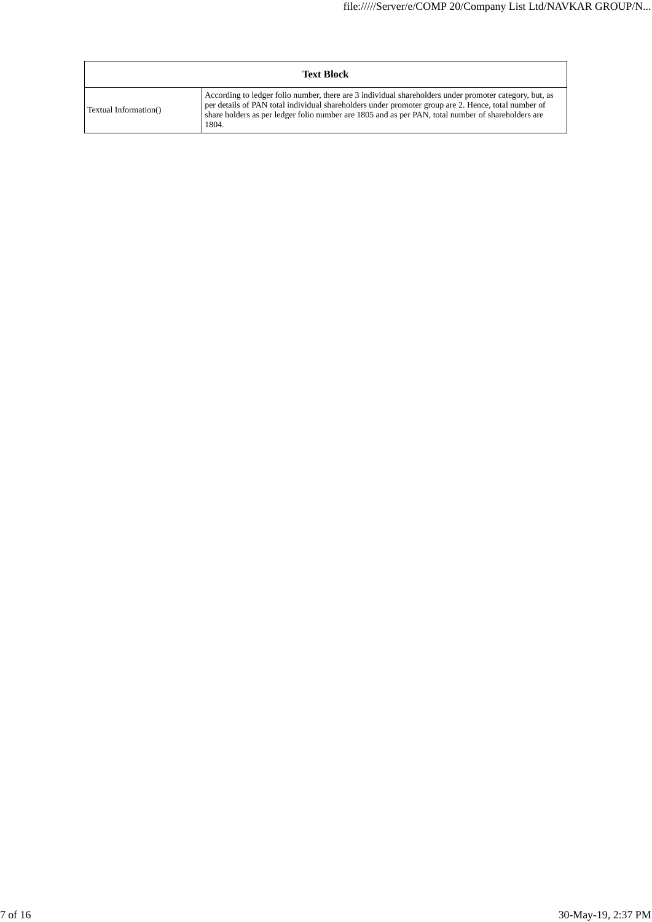|                       | <b>Text Block</b>                                                                                                                                                                                                                                                                                                            |
|-----------------------|------------------------------------------------------------------------------------------------------------------------------------------------------------------------------------------------------------------------------------------------------------------------------------------------------------------------------|
| Textual Information() | According to ledger folio number, there are 3 individual shareholders under promoter category, but, as<br>per details of PAN total individual shareholders under promoter group are 2. Hence, total number of<br>share holders as per ledger folio number are 1805 and as per PAN, total number of shareholders are<br>1804. |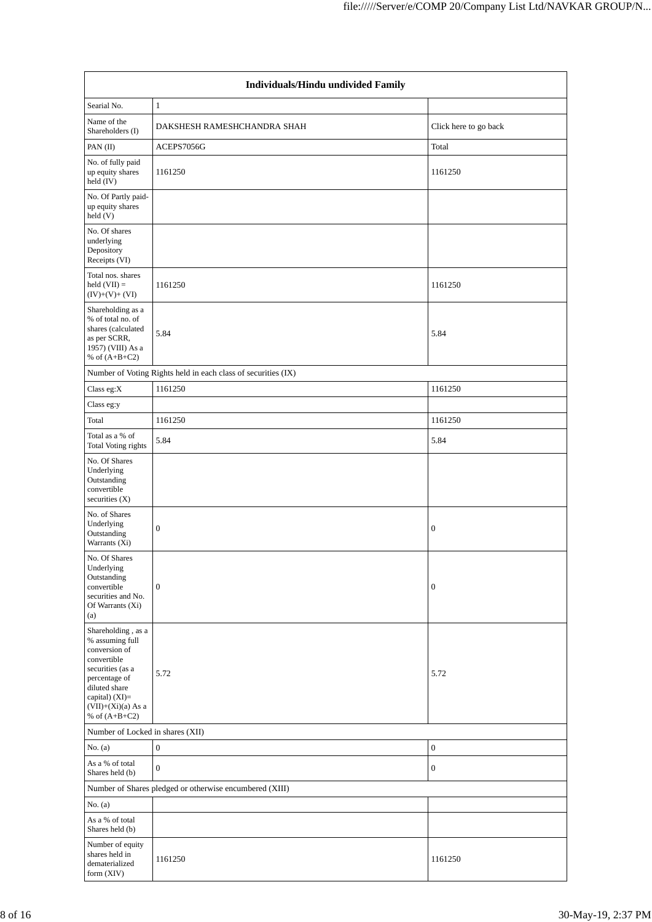|                                                                                                                                                                                            | Individuals/Hindu undivided Family                            |                       |  |  |  |  |  |  |
|--------------------------------------------------------------------------------------------------------------------------------------------------------------------------------------------|---------------------------------------------------------------|-----------------------|--|--|--|--|--|--|
| Searial No.                                                                                                                                                                                | $\mathbf{1}$                                                  |                       |  |  |  |  |  |  |
| Name of the<br>Shareholders (I)                                                                                                                                                            | DAKSHESH RAMESHCHANDRA SHAH                                   | Click here to go back |  |  |  |  |  |  |
| PAN (II)                                                                                                                                                                                   | ACEPS7056G                                                    | Total                 |  |  |  |  |  |  |
| No. of fully paid<br>up equity shares<br>held (IV)                                                                                                                                         | 1161250                                                       | 1161250               |  |  |  |  |  |  |
| No. Of Partly paid-<br>up equity shares<br>held (V)                                                                                                                                        |                                                               |                       |  |  |  |  |  |  |
| No. Of shares<br>underlying<br>Depository<br>Receipts (VI)                                                                                                                                 |                                                               |                       |  |  |  |  |  |  |
| Total nos. shares<br>held $(VII) =$<br>$(IV)+(V)+(VI)$                                                                                                                                     | 1161250                                                       | 1161250               |  |  |  |  |  |  |
| Shareholding as a<br>% of total no. of<br>shares (calculated<br>as per SCRR,<br>1957) (VIII) As a<br>% of $(A+B+C2)$                                                                       | 5.84                                                          | 5.84                  |  |  |  |  |  |  |
|                                                                                                                                                                                            | Number of Voting Rights held in each class of securities (IX) |                       |  |  |  |  |  |  |
| Class eg: $X$                                                                                                                                                                              | 1161250                                                       | 1161250               |  |  |  |  |  |  |
| Class eg:y                                                                                                                                                                                 |                                                               |                       |  |  |  |  |  |  |
| Total                                                                                                                                                                                      | 1161250                                                       | 1161250               |  |  |  |  |  |  |
| Total as a % of<br>Total Voting rights                                                                                                                                                     | 5.84                                                          | 5.84                  |  |  |  |  |  |  |
| No. Of Shares<br>Underlying<br>Outstanding<br>convertible<br>securities (X)                                                                                                                |                                                               |                       |  |  |  |  |  |  |
| No. of Shares<br>Underlying<br>Outstanding<br>Warrants (Xi)                                                                                                                                | $\boldsymbol{0}$                                              | $\boldsymbol{0}$      |  |  |  |  |  |  |
| No. Of Shares<br>Underlying<br>Outstanding<br>convertible<br>securities and No.<br>Of Warrants (Xi)<br>(a)                                                                                 | $\boldsymbol{0}$                                              | $\boldsymbol{0}$      |  |  |  |  |  |  |
| Shareholding, as a<br>% assuming full<br>conversion of<br>convertible<br>securities (as a<br>percentage of<br>diluted share<br>capital) $(XI)=$<br>$(VII)+(Xi)(a)$ As a<br>% of $(A+B+C2)$ | 5.72                                                          | 5.72                  |  |  |  |  |  |  |
| Number of Locked in shares (XII)                                                                                                                                                           |                                                               |                       |  |  |  |  |  |  |
| No. $(a)$                                                                                                                                                                                  | $\boldsymbol{0}$                                              | $\boldsymbol{0}$      |  |  |  |  |  |  |
| As a % of total<br>Shares held (b)                                                                                                                                                         | $\mathbf{0}$                                                  | $\boldsymbol{0}$      |  |  |  |  |  |  |
|                                                                                                                                                                                            | Number of Shares pledged or otherwise encumbered (XIII)       |                       |  |  |  |  |  |  |
| No. (a)                                                                                                                                                                                    |                                                               |                       |  |  |  |  |  |  |
| As a % of total<br>Shares held (b)                                                                                                                                                         |                                                               |                       |  |  |  |  |  |  |
| Number of equity<br>shares held in<br>dematerialized<br>form (XIV)                                                                                                                         | 1161250                                                       | 1161250               |  |  |  |  |  |  |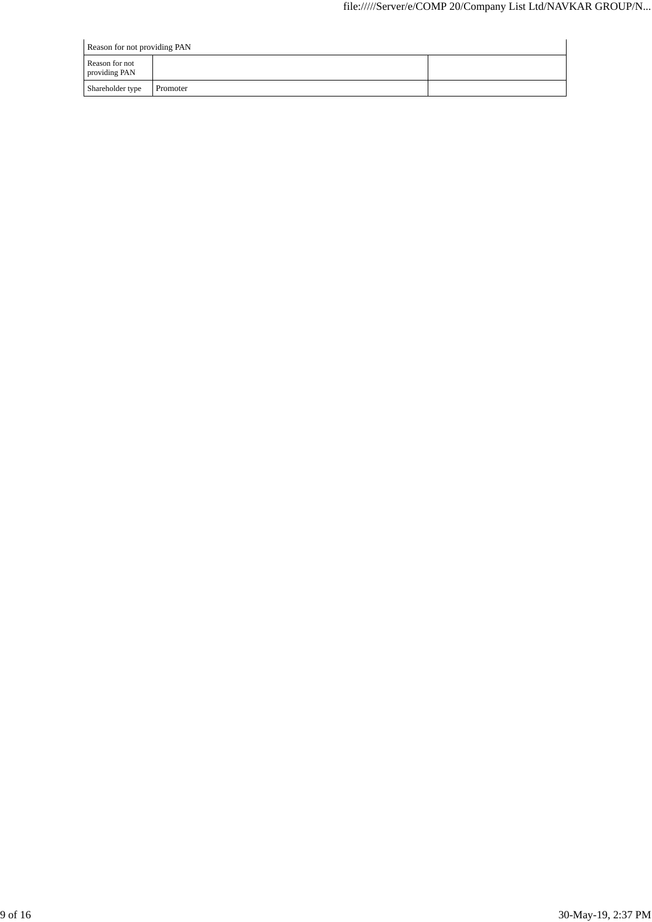| Reason for not providing PAN    |          |  |  |  |  |  |
|---------------------------------|----------|--|--|--|--|--|
| Reason for not<br>providing PAN |          |  |  |  |  |  |
| Shareholder type                | Promoter |  |  |  |  |  |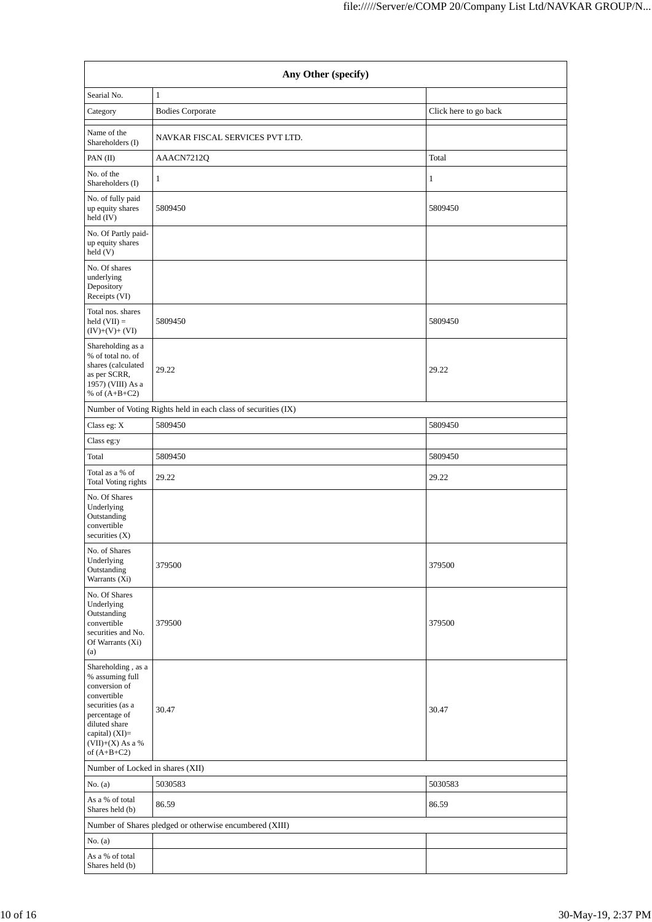|                                                                                                                                                                                      | Any Other (specify)                                           |                       |  |  |  |  |  |  |
|--------------------------------------------------------------------------------------------------------------------------------------------------------------------------------------|---------------------------------------------------------------|-----------------------|--|--|--|--|--|--|
| Searial No.                                                                                                                                                                          | $\mathbf{1}$                                                  |                       |  |  |  |  |  |  |
| Category                                                                                                                                                                             | <b>Bodies Corporate</b>                                       | Click here to go back |  |  |  |  |  |  |
| Name of the<br>Shareholders (I)                                                                                                                                                      | NAVKAR FISCAL SERVICES PVT LTD.                               |                       |  |  |  |  |  |  |
| PAN (II)                                                                                                                                                                             | AAACN7212Q                                                    | Total                 |  |  |  |  |  |  |
| No. of the<br>Shareholders (I)                                                                                                                                                       | 1                                                             | $\mathbf{1}$          |  |  |  |  |  |  |
| No. of fully paid<br>up equity shares<br>held (IV)                                                                                                                                   | 5809450                                                       | 5809450               |  |  |  |  |  |  |
| No. Of Partly paid-<br>up equity shares<br>held (V)                                                                                                                                  |                                                               |                       |  |  |  |  |  |  |
| No. Of shares<br>underlying<br>Depository<br>Receipts (VI)                                                                                                                           |                                                               |                       |  |  |  |  |  |  |
| Total nos. shares<br>held $(VII) =$<br>$(IV)+(V)+(VI)$                                                                                                                               | 5809450                                                       | 5809450               |  |  |  |  |  |  |
| Shareholding as a<br>% of total no. of<br>shares (calculated<br>as per SCRR,<br>1957) (VIII) As a<br>% of $(A+B+C2)$                                                                 | 29.22                                                         | 29.22                 |  |  |  |  |  |  |
|                                                                                                                                                                                      | Number of Voting Rights held in each class of securities (IX) |                       |  |  |  |  |  |  |
| Class eg: X                                                                                                                                                                          | 5809450                                                       | 5809450               |  |  |  |  |  |  |
| Class eg:y                                                                                                                                                                           |                                                               |                       |  |  |  |  |  |  |
| Total                                                                                                                                                                                | 5809450                                                       | 5809450               |  |  |  |  |  |  |
| Total as a % of<br>Total Voting rights                                                                                                                                               | 29.22                                                         | 29.22                 |  |  |  |  |  |  |
| No. Of Shares<br>Underlying<br>Outstanding<br>convertible<br>securities $(X)$                                                                                                        |                                                               |                       |  |  |  |  |  |  |
| No. of Shares<br>Underlying<br>Outstanding<br>Warrants (Xi)                                                                                                                          | 379500                                                        | 379500                |  |  |  |  |  |  |
| No. Of Shares<br>Underlying<br>Outstanding<br>convertible<br>securities and No.<br>Of Warrants (Xi)<br>(a)                                                                           | 379500                                                        | 379500                |  |  |  |  |  |  |
| Shareholding, as a<br>% assuming full<br>conversion of<br>convertible<br>securities (as a<br>percentage of<br>diluted share<br>capital) (XI)=<br>$(VII)+(X)$ As a %<br>of $(A+B+C2)$ | 30.47                                                         | 30.47                 |  |  |  |  |  |  |
| Number of Locked in shares (XII)                                                                                                                                                     |                                                               |                       |  |  |  |  |  |  |
| No. $(a)$                                                                                                                                                                            | 5030583                                                       | 5030583               |  |  |  |  |  |  |
| As a % of total<br>Shares held (b)                                                                                                                                                   | 86.59                                                         | 86.59                 |  |  |  |  |  |  |
|                                                                                                                                                                                      | Number of Shares pledged or otherwise encumbered (XIII)       |                       |  |  |  |  |  |  |
| No. $(a)$                                                                                                                                                                            |                                                               |                       |  |  |  |  |  |  |
| As a % of total<br>Shares held (b)                                                                                                                                                   |                                                               |                       |  |  |  |  |  |  |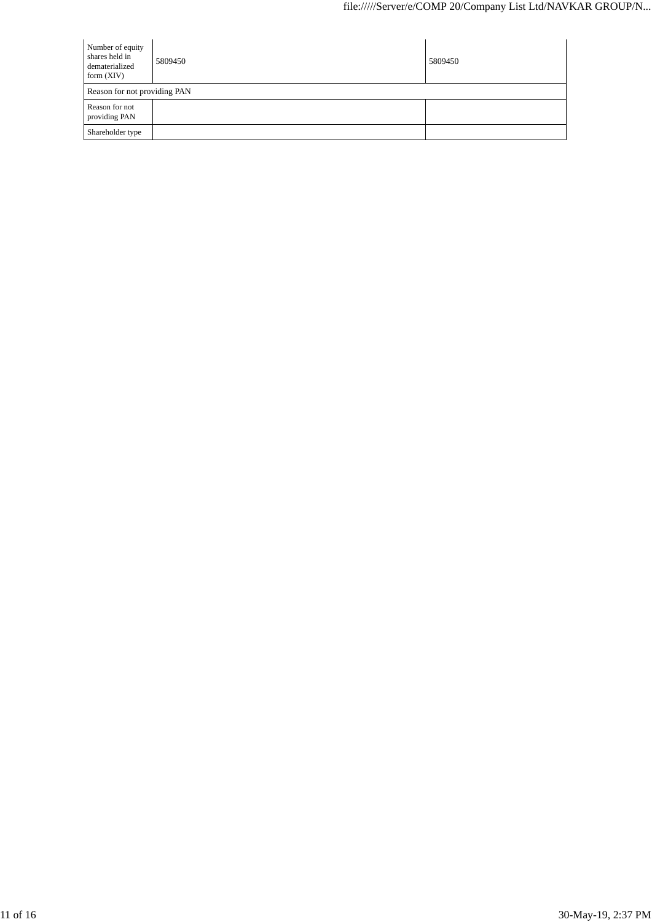| Number of equity<br>shares held in<br>dematerialized<br>form $(XIV)$ | 5809450 | 5809450 |
|----------------------------------------------------------------------|---------|---------|
| Reason for not providing PAN                                         |         |         |
| Reason for not<br>providing PAN                                      |         |         |
| Shareholder type                                                     |         |         |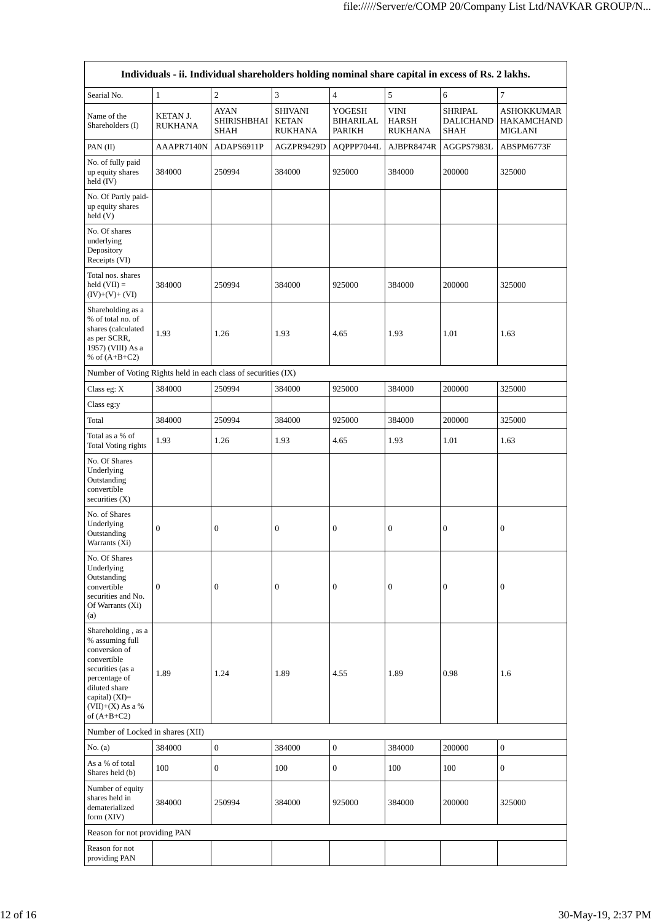|                                                                                                                                                                                        |                            | Individuals - ii. Individual shareholders holding nominal share capital in excess of Rs. 2 lakhs. |                                                  |                                      |                                               |                                                   |                                            |
|----------------------------------------------------------------------------------------------------------------------------------------------------------------------------------------|----------------------------|---------------------------------------------------------------------------------------------------|--------------------------------------------------|--------------------------------------|-----------------------------------------------|---------------------------------------------------|--------------------------------------------|
| Searial No.                                                                                                                                                                            | $\mathbf{1}$               | $\sqrt{2}$                                                                                        | 3                                                | $\overline{4}$                       | 5                                             | 6                                                 | $\overline{7}$                             |
| Name of the<br>Shareholders (I)                                                                                                                                                        | KETAN J.<br><b>RUKHANA</b> | <b>AYAN</b><br>SHIRISHBHAI<br><b>SHAH</b>                                                         | <b>SHIVANI</b><br><b>KETAN</b><br><b>RUKHANA</b> | YOGESH<br><b>BIHARILAL</b><br>PARIKH | <b>VINI</b><br><b>HARSH</b><br><b>RUKHANA</b> | <b>SHRIPAL</b><br><b>DALICHAND</b><br><b>SHAH</b> | ASHOKKUMAR<br>HAKAMCHAND<br><b>MIGLANI</b> |
| PAN (II)                                                                                                                                                                               | AAAPR7140N                 | ADAPS6911P                                                                                        | AGZPR9429D                                       | AQPPP7044L                           | AJBPR8474R                                    | AGGPS7983L                                        | ABSPM6773F                                 |
| No. of fully paid<br>up equity shares<br>held $(IV)$                                                                                                                                   | 384000                     | 250994                                                                                            | 384000                                           | 925000                               | 384000                                        | 200000                                            | 325000                                     |
| No. Of Partly paid-<br>up equity shares<br>held (V)                                                                                                                                    |                            |                                                                                                   |                                                  |                                      |                                               |                                                   |                                            |
| No. Of shares<br>underlying<br>Depository<br>Receipts (VI)                                                                                                                             |                            |                                                                                                   |                                                  |                                      |                                               |                                                   |                                            |
| Total nos. shares<br>held $(VII) =$<br>$(IV)+(V)+(VI)$                                                                                                                                 | 384000                     | 250994                                                                                            | 384000                                           | 925000                               | 384000                                        | 200000                                            | 325000                                     |
| Shareholding as a<br>% of total no. of<br>shares (calculated<br>as per SCRR,<br>1957) (VIII) As a<br>% of $(A+B+C2)$                                                                   | 1.93                       | 1.26                                                                                              | 1.93                                             | 4.65                                 | 1.93                                          | 1.01                                              | 1.63                                       |
| Number of Voting Rights held in each class of securities (IX)                                                                                                                          |                            |                                                                                                   |                                                  |                                      |                                               |                                                   |                                            |
| Class eg: $X$                                                                                                                                                                          | 384000                     | 250994                                                                                            | 384000                                           | 925000                               | 384000                                        | 200000                                            | 325000                                     |
| Class eg:y                                                                                                                                                                             |                            |                                                                                                   |                                                  |                                      |                                               |                                                   |                                            |
| Total                                                                                                                                                                                  | 384000                     | 250994                                                                                            | 384000                                           | 925000                               | 384000                                        | 200000                                            | 325000                                     |
| Total as a % of<br>Total Voting rights                                                                                                                                                 | 1.93                       | 1.26                                                                                              | 1.93                                             | 4.65                                 | 1.93                                          | 1.01                                              | 1.63                                       |
| No. Of Shares<br>Underlying<br>Outstanding<br>convertible<br>securities $(X)$                                                                                                          |                            |                                                                                                   |                                                  |                                      |                                               |                                                   |                                            |
| No. of Shares<br>Underlying<br>Outstanding<br>Warrants (Xi)                                                                                                                            | $\boldsymbol{0}$           | $\boldsymbol{0}$                                                                                  | $\boldsymbol{0}$                                 | $\boldsymbol{0}$                     | $\boldsymbol{0}$                              | $\boldsymbol{0}$                                  | $\boldsymbol{0}$                           |
| No. Of Shares<br>Underlying<br>Outstanding<br>convertible<br>securities and No.<br>Of Warrants (Xi)<br>(a)                                                                             | $\overline{0}$             | $\boldsymbol{0}$                                                                                  | $\boldsymbol{0}$                                 | $\boldsymbol{0}$                     | $\boldsymbol{0}$                              | $\boldsymbol{0}$                                  | 0                                          |
| Shareholding, as a<br>% assuming full<br>conversion of<br>convertible<br>securities (as a<br>percentage of<br>diluted share<br>capital) $(XI)=$<br>$(VII)+(X)$ As a %<br>of $(A+B+C2)$ | 1.89                       | 1.24                                                                                              | 1.89                                             | 4.55                                 | 1.89                                          | 0.98                                              | 1.6                                        |
| Number of Locked in shares (XII)                                                                                                                                                       |                            |                                                                                                   |                                                  |                                      |                                               |                                                   |                                            |
| No. (a)                                                                                                                                                                                | 384000                     | $\boldsymbol{0}$                                                                                  | 384000                                           | $\boldsymbol{0}$                     | 384000                                        | 200000                                            | $\boldsymbol{0}$                           |
| As a % of total<br>Shares held (b)                                                                                                                                                     | 100                        | $\boldsymbol{0}$                                                                                  | 100                                              | $\overline{0}$                       | 100                                           | 100                                               | $\mathbf{0}$                               |
| Number of equity<br>shares held in<br>dematerialized<br>form (XIV)                                                                                                                     | 384000                     | 250994                                                                                            | 384000                                           | 925000                               | 384000                                        | 200000                                            | 325000                                     |
| Reason for not providing PAN                                                                                                                                                           |                            |                                                                                                   |                                                  |                                      |                                               |                                                   |                                            |
| Reason for not<br>providing PAN                                                                                                                                                        |                            |                                                                                                   |                                                  |                                      |                                               |                                                   |                                            |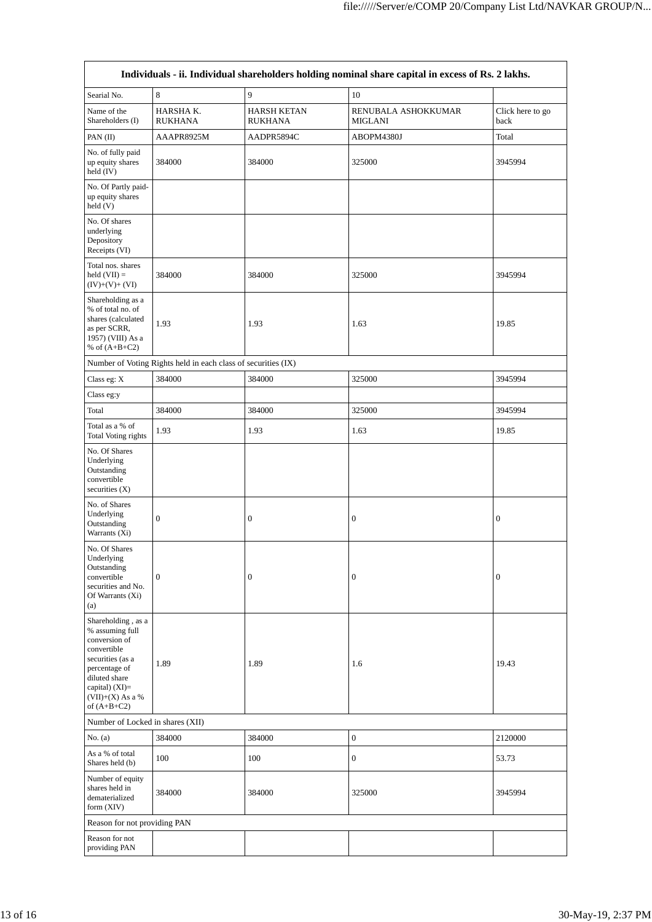| Individuals - ii. Individual shareholders holding nominal share capital in excess of Rs. 2 lakhs.                                                                                    |                                                               |                                      |                                       |                          |  |  |  |
|--------------------------------------------------------------------------------------------------------------------------------------------------------------------------------------|---------------------------------------------------------------|--------------------------------------|---------------------------------------|--------------------------|--|--|--|
| Searial No.                                                                                                                                                                          | 8                                                             | 9                                    | 10                                    |                          |  |  |  |
| Name of the<br>Shareholders (I)                                                                                                                                                      | HARSHA K.<br><b>RUKHANA</b>                                   | <b>HARSH KETAN</b><br><b>RUKHANA</b> | RENUBALA ASHOKKUMAR<br><b>MIGLANI</b> | Click here to go<br>back |  |  |  |
| PAN (II)                                                                                                                                                                             | AAAPR8925M                                                    | AADPR5894C                           | ABOPM4380J                            | Total                    |  |  |  |
| No. of fully paid<br>up equity shares<br>held (IV)                                                                                                                                   | 384000                                                        | 384000                               | 325000                                | 3945994                  |  |  |  |
| No. Of Partly paid-<br>up equity shares<br>$\text{held}$ (V)                                                                                                                         |                                                               |                                      |                                       |                          |  |  |  |
| No. Of shares<br>underlying<br>Depository<br>Receipts (VI)                                                                                                                           |                                                               |                                      |                                       |                          |  |  |  |
| Total nos. shares<br>held $(VII) =$<br>$(IV)+(V)+(VI)$                                                                                                                               | 384000                                                        | 384000                               | 325000                                | 3945994                  |  |  |  |
| Shareholding as a<br>% of total no. of<br>shares (calculated<br>as per SCRR,<br>1957) (VIII) As a<br>% of $(A+B+C2)$                                                                 | 1.93                                                          | 1.93                                 | 1.63                                  | 19.85                    |  |  |  |
|                                                                                                                                                                                      | Number of Voting Rights held in each class of securities (IX) |                                      |                                       |                          |  |  |  |
| Class eg: X                                                                                                                                                                          | 384000                                                        | 384000                               | 325000                                | 3945994                  |  |  |  |
| Class eg:y                                                                                                                                                                           |                                                               |                                      |                                       |                          |  |  |  |
| Total                                                                                                                                                                                | 384000                                                        | 384000                               | 325000                                | 3945994                  |  |  |  |
| Total as a % of<br><b>Total Voting rights</b>                                                                                                                                        | 1.93                                                          | 1.93                                 | 1.63                                  | 19.85                    |  |  |  |
| No. Of Shares<br>Underlying<br>Outstanding<br>convertible<br>securities $(X)$                                                                                                        |                                                               |                                      |                                       |                          |  |  |  |
| No. of Shares<br>Underlying<br>Outstanding<br>Warrants (Xi)                                                                                                                          | $\boldsymbol{0}$                                              | $\boldsymbol{0}$                     | $\boldsymbol{0}$                      | $\boldsymbol{0}$         |  |  |  |
| No. Of Shares<br>Underlying<br>Outstanding<br>convertible<br>securities and No.<br>Of Warrants (Xi)<br>(a)                                                                           | $\boldsymbol{0}$                                              | $\boldsymbol{0}$                     | $\boldsymbol{0}$                      | $\boldsymbol{0}$         |  |  |  |
| Shareholding, as a<br>% assuming full<br>conversion of<br>convertible<br>securities (as a<br>percentage of<br>diluted share<br>capital) (XI)=<br>$(VII)+(X)$ As a %<br>of $(A+B+C2)$ | 1.89                                                          | 1.89                                 | 1.6                                   | 19.43                    |  |  |  |
| Number of Locked in shares (XII)                                                                                                                                                     |                                                               |                                      |                                       |                          |  |  |  |
| No. $(a)$                                                                                                                                                                            | 384000                                                        | 384000                               | $\boldsymbol{0}$                      | 2120000                  |  |  |  |
| As a % of total<br>Shares held (b)                                                                                                                                                   | 100                                                           | 100                                  | $\boldsymbol{0}$                      | 53.73                    |  |  |  |
| Number of equity<br>shares held in<br>dematerialized<br>form $(XIV)$                                                                                                                 | 384000                                                        | 384000                               | 325000                                | 3945994                  |  |  |  |
| Reason for not providing PAN                                                                                                                                                         |                                                               |                                      |                                       |                          |  |  |  |
| Reason for not<br>providing PAN                                                                                                                                                      |                                                               |                                      |                                       |                          |  |  |  |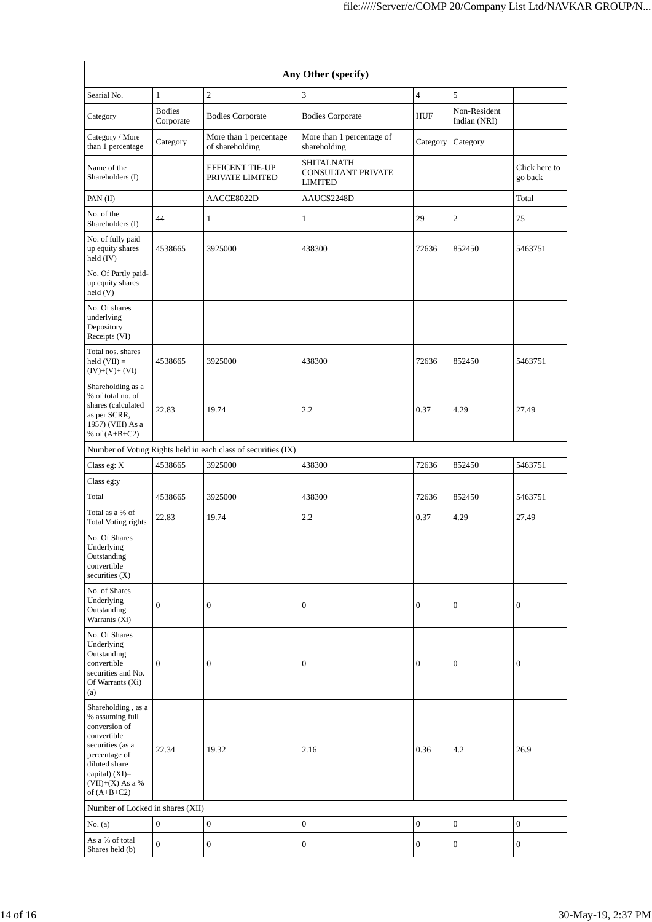| Any Other (specify)                                                                                                                                                                  |                            |                                                               |                                                           |                  |                              |                          |  |
|--------------------------------------------------------------------------------------------------------------------------------------------------------------------------------------|----------------------------|---------------------------------------------------------------|-----------------------------------------------------------|------------------|------------------------------|--------------------------|--|
| Searial No.                                                                                                                                                                          | $\mathbf{1}$               | $\overline{c}$                                                | 3                                                         | $\overline{4}$   | 5                            |                          |  |
| Category                                                                                                                                                                             | <b>Bodies</b><br>Corporate | <b>Bodies Corporate</b>                                       | <b>Bodies Corporate</b>                                   | HUF              | Non-Resident<br>Indian (NRI) |                          |  |
| Category / More<br>than 1 percentage                                                                                                                                                 | Category                   | More than 1 percentage<br>of shareholding                     | More than 1 percentage of<br>shareholding                 | Category         | Category                     |                          |  |
| Name of the<br>Shareholders (I)                                                                                                                                                      |                            | <b>EFFICENT TIE-UP</b><br>PRIVATE LIMITED                     | <b>SHITALNATH</b><br>CONSULTANT PRIVATE<br><b>LIMITED</b> |                  |                              | Click here to<br>go back |  |
| PAN (II)                                                                                                                                                                             |                            | AACCE8022D                                                    | AAUCS2248D                                                |                  |                              | Total                    |  |
| No. of the<br>Shareholders (I)                                                                                                                                                       | 44                         | $\mathbf{1}$                                                  | $\mathbf{1}$                                              | 29               | $\overline{c}$               | 75                       |  |
| No. of fully paid<br>up equity shares<br>held (IV)                                                                                                                                   | 4538665                    | 3925000                                                       | 438300                                                    | 72636            | 852450                       | 5463751                  |  |
| No. Of Partly paid-<br>up equity shares<br>held (V)                                                                                                                                  |                            |                                                               |                                                           |                  |                              |                          |  |
| No. Of shares<br>underlying<br>Depository<br>Receipts (VI)                                                                                                                           |                            |                                                               |                                                           |                  |                              |                          |  |
| Total nos. shares<br>held $(VII) =$<br>$(IV)+(V)+(VI)$                                                                                                                               | 4538665                    | 3925000                                                       | 438300                                                    | 72636            | 852450                       | 5463751                  |  |
| Shareholding as a<br>% of total no. of<br>shares (calculated<br>as per SCRR,<br>1957) (VIII) As a<br>% of $(A+B+C2)$                                                                 | 22.83                      | 19.74                                                         | 2.2                                                       | 0.37             | 4.29                         | 27.49                    |  |
|                                                                                                                                                                                      |                            | Number of Voting Rights held in each class of securities (IX) |                                                           |                  |                              |                          |  |
| Class eg: X                                                                                                                                                                          | 4538665                    | 3925000                                                       | 438300                                                    | 72636            | 852450                       | 5463751                  |  |
| Class eg:y                                                                                                                                                                           |                            |                                                               |                                                           |                  |                              |                          |  |
| Total                                                                                                                                                                                | 4538665                    | 3925000                                                       | 438300                                                    | 72636            | 852450                       | 5463751                  |  |
| Total as a % of<br>Total Voting rights                                                                                                                                               | 22.83                      | 19.74                                                         | 2.2                                                       | 0.37             | 4.29                         | 27.49                    |  |
| No. Of Shares<br>Underlying<br>Outstanding<br>convertible<br>securities $(X)$                                                                                                        |                            |                                                               |                                                           |                  |                              |                          |  |
| No. of Shares<br>Underlying<br>Outstanding<br>Warrants (Xi)                                                                                                                          | $\mathbf{0}$               | $\mathbf{0}$                                                  | $\boldsymbol{0}$                                          | $\overline{0}$   | $\mathbf{0}$                 | 0                        |  |
| No. Of Shares<br>Underlying<br>Outstanding<br>convertible<br>securities and No.<br>Of Warrants (Xi)<br>(a)                                                                           | $\boldsymbol{0}$           | $\boldsymbol{0}$                                              | $\boldsymbol{0}$                                          | $\boldsymbol{0}$ | $\mathbf{0}$                 | $\boldsymbol{0}$         |  |
| Shareholding, as a<br>% assuming full<br>conversion of<br>convertible<br>securities (as a<br>percentage of<br>diluted share<br>capital) (XI)=<br>$(VII)+(X)$ As a %<br>of $(A+B+C2)$ | 22.34                      | 19.32                                                         | 2.16                                                      | 0.36             | 4.2                          | 26.9                     |  |
| Number of Locked in shares (XII)                                                                                                                                                     |                            |                                                               |                                                           |                  |                              |                          |  |
| No. $(a)$                                                                                                                                                                            | $\boldsymbol{0}$           | $\mathbf{0}$                                                  | $\mathbf{0}$                                              | $\boldsymbol{0}$ | $\mathbf{0}$                 | $\boldsymbol{0}$         |  |
| As a % of total<br>Shares held (b)                                                                                                                                                   | $\boldsymbol{0}$           | $\mathbf{0}$                                                  | $\mathbf{0}$                                              | $\boldsymbol{0}$ | $\mathbf{0}$                 | 0                        |  |